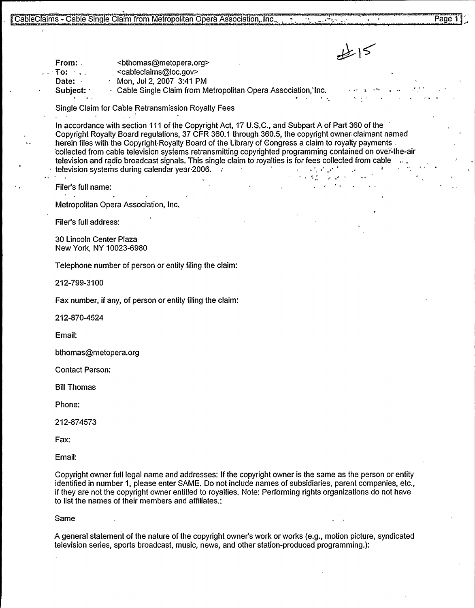is a contract of the second state of the second state of the second state of the second state of the second state of the second state of the second state of the second state of the second state of the second state of the s

From: <bthomas@metopera.org><br><cableclaims@loc.gov>

Date: Mon, Jul 2, 2007 3:41 PM<br>Subject: All Cable Single Claim from M

 $\cdot$  Cable Single Claim from Metropolitan Opera Association,'Inc.

Single Claim for Cable Retransmission Royalty Fees

18 - Cable Single Claim from Metropolitan Opera Association, Inc.<br>
15 - Cable Single Claim from Metropolitan Opera Association, Inc.<br>
16 - Cable Single Claim from Jul 2, 2007 3:41 PM<br>
16 - Cable Single Claim from Metropoli In accordance with section 111 of the Copyright Act, 17 U.S.C., and Subpart A of Part 360 of the herein files with the Copyright Royalty Board of the Library of Congress a claim to royalty payments Royalty Board regulations, 37 CFR 360.1 through 360.5, the copyright owner, claimant ance with section 111 of the Copyright Act, 17 U.S.C., and Subpart A of Part 360 of the<br>Royalty Board regulations, 37 CFR 360.1 through 360.5, the copyright owner claimant named<br>s with the Copyright Royalty Board of the Li 'collected from cable television systems retransmitting copyrighted programming contained on ovei'-the-air television and radio broadcast signals. This single claim to royalties is for fees collected from cable television systems during calendar year 2006.

Filer's full name:

.

Metropolitan Opera Association, Inc,

Filer's full address:

30 Lincoln Center Plaza New York, NY 10023-6980

Telephone number of person or entity filing the claim:

212-799-3100

Fax number, if any, of person or entity filing the claim:

212-870-4524

Email:

bthomas@metopera.org

Contact Person:

Bill Thomas

Phone:

212-874573

Fax:

Email:

Copyright owner full legal name and addresses: If the copyright owner is the same as the person or entity identified in number 1, please enter SAME. Do not include names of subsidiaries, parent companies, etc., if they are not the copyright owner entitled to royalties. Note: Performing rights organizations do not have to list the names of their members and affiliates.:

Same

A general statement of the nature of the copyright owner's work or works (e.g., motion picture, syndicated television series, sports broadcast, music, news, and other station-produced programming.):